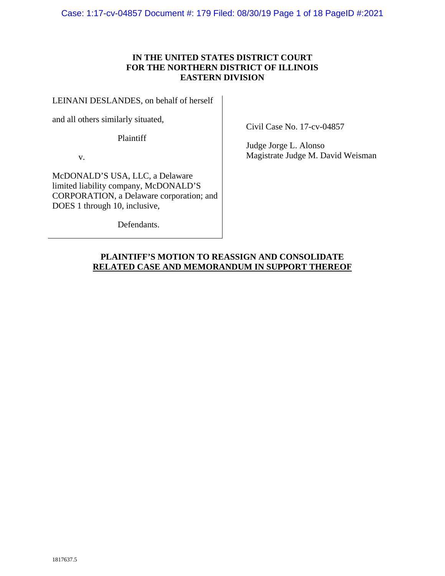# **IN THE UNITED STATES DISTRICT COURT FOR THE NORTHERN DISTRICT OF ILLINOIS EASTERN DIVISION**

LEINANI DESLANDES, on behalf of herself

and all others similarly situated,

Plaintiff

Civil Case No. 17-cv-04857

Judge Jorge L. Alonso Magistrate Judge M. David Weisman

v.

McDONALD'S USA, LLC, a Delaware limited liability company, McDONALD'S CORPORATION, a Delaware corporation; and DOES 1 through 10, inclusive,

Defendants.

# **PLAINTIFF'S MOTION TO REASSIGN AND CONSOLIDATE RELATED CASE AND MEMORANDUM IN SUPPORT THEREOF**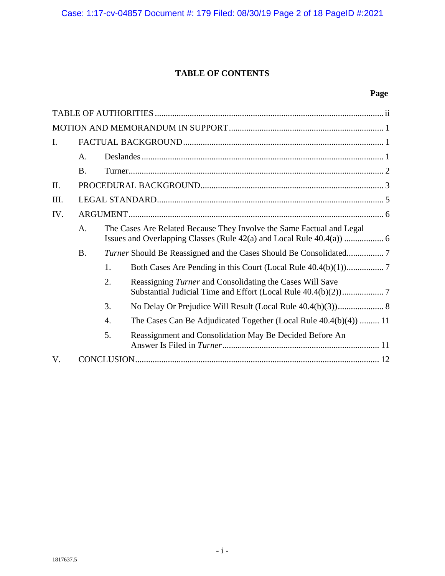# **TABLE OF CONTENTS**

# **Page**

| I.   |                |    |                                                                       |  |  |  |
|------|----------------|----|-----------------------------------------------------------------------|--|--|--|
|      | A.             |    |                                                                       |  |  |  |
|      | <b>B.</b>      |    |                                                                       |  |  |  |
| II.  |                |    |                                                                       |  |  |  |
| III. |                |    |                                                                       |  |  |  |
| IV.  |                |    |                                                                       |  |  |  |
|      | A <sub>1</sub> |    | The Cases Are Related Because They Involve the Same Factual and Legal |  |  |  |
|      | <b>B.</b>      |    | Turner Should Be Reassigned and the Cases Should Be Consolidated7     |  |  |  |
|      |                | 1. |                                                                       |  |  |  |
|      |                | 2. | Reassigning <i>Turner</i> and Consolidating the Cases Will Save       |  |  |  |
|      |                | 3. |                                                                       |  |  |  |
|      |                | 4. | The Cases Can Be Adjudicated Together (Local Rule $40.4(b)(4)$ )  11  |  |  |  |
|      |                | 5. | Reassignment and Consolidation May Be Decided Before An               |  |  |  |
| V.   |                |    |                                                                       |  |  |  |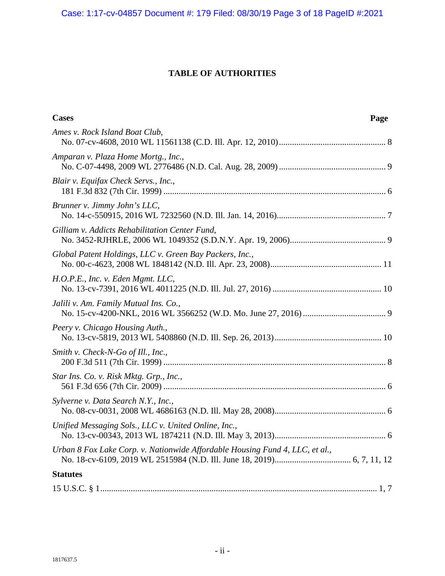# **TABLE OF AUTHORITIES**

| <b>Cases</b>                                                                 | Page |
|------------------------------------------------------------------------------|------|
| Ames v. Rock Island Boat Club,                                               |      |
| Amparan v. Plaza Home Mortg., Inc.,                                          |      |
| Blair v. Equifax Check Servs., Inc.,                                         |      |
| Brunner v. Jimmy John's LLC,                                                 |      |
| Gilliam v. Addicts Rehabilitation Center Fund,                               |      |
| Global Patent Holdings, LLC v. Green Bay Packers, Inc.,                      |      |
| H.O.P.E., Inc. v. Eden Mgmt. LLC,                                            |      |
| Jalili v. Am. Family Mutual Ins. Co.,                                        |      |
| Peery v. Chicago Housing Auth.,                                              |      |
| Smith v. Check-N-Go of Ill., Inc.,                                           |      |
| Star Ins. Co. v. Risk Mktg. Grp., Inc.,                                      |      |
| Sylverne v. Data Search N.Y., Inc.,                                          |      |
| Unified Messaging Sols., LLC v. United Online, Inc.,                         |      |
| Urban 8 Fox Lake Corp. v. Nationwide Affordable Housing Fund 4, LLC, et al., |      |
| <b>Statutes</b>                                                              |      |
|                                                                              |      |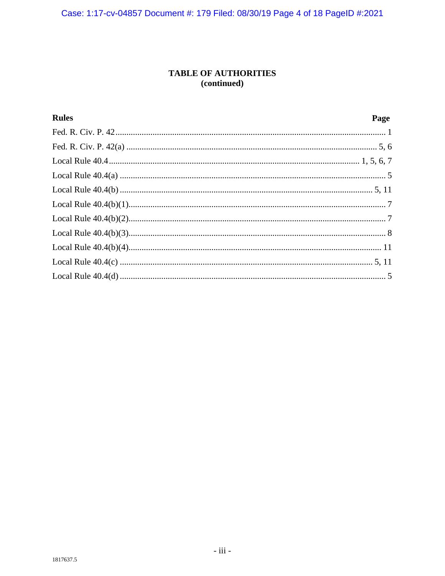Case: 1:17-cv-04857 Document #: 179 Filed: 08/30/19 Page 4 of 18 PageID #:2021

# **TABLE OF AUTHORITIES** (continued)

| <b>Rules</b> | Page |
|--------------|------|
|              |      |
|              |      |
|              |      |
|              |      |
|              |      |
|              |      |
|              |      |
|              |      |
|              |      |
|              |      |
|              |      |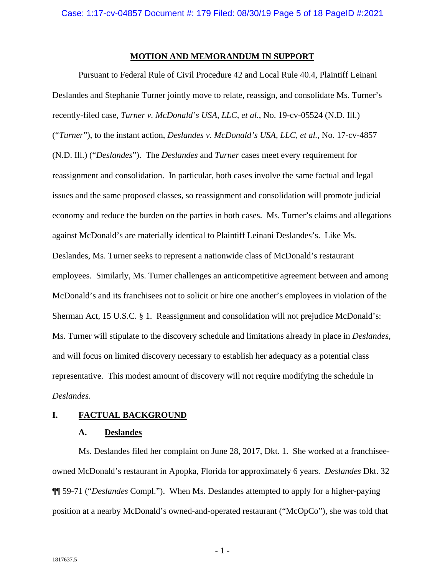## **MOTION AND MEMORANDUM IN SUPPORT**

Pursuant to Federal Rule of Civil Procedure 42 and Local Rule 40.4, Plaintiff Leinani Deslandes and Stephanie Turner jointly move to relate, reassign, and consolidate Ms. Turner's recently-filed case, *Turner v. McDonald's USA, LLC, et al.*, No. 19-cv-05524 (N.D. Ill.) ("*Turner*"), to the instant action, *Deslandes v. McDonald's USA, LLC, et al.*, No. 17-cv-4857 (N.D. Ill.) ("*Deslandes*"). The *Deslandes* and *Turner* cases meet every requirement for reassignment and consolidation. In particular, both cases involve the same factual and legal issues and the same proposed classes, so reassignment and consolidation will promote judicial economy and reduce the burden on the parties in both cases. Ms. Turner's claims and allegations against McDonald's are materially identical to Plaintiff Leinani Deslandes's. Like Ms. Deslandes, Ms. Turner seeks to represent a nationwide class of McDonald's restaurant employees. Similarly, Ms. Turner challenges an anticompetitive agreement between and among McDonald's and its franchisees not to solicit or hire one another's employees in violation of the Sherman Act, 15 U.S.C. § 1. Reassignment and consolidation will not prejudice McDonald's: Ms. Turner will stipulate to the discovery schedule and limitations already in place in *Deslandes*, and will focus on limited discovery necessary to establish her adequacy as a potential class representative. This modest amount of discovery will not require modifying the schedule in *Deslandes*.

## **I. FACTUAL BACKGROUND**

### **A. Deslandes**

Ms. Deslandes filed her complaint on June 28, 2017, Dkt. 1. She worked at a franchiseeowned McDonald's restaurant in Apopka, Florida for approximately 6 years. *Deslandes* Dkt. 32 ¶¶ 59-71 ("*Deslandes* Compl."). When Ms. Deslandes attempted to apply for a higher-paying position at a nearby McDonald's owned-and-operated restaurant ("McOpCo"), she was told that

- 1 -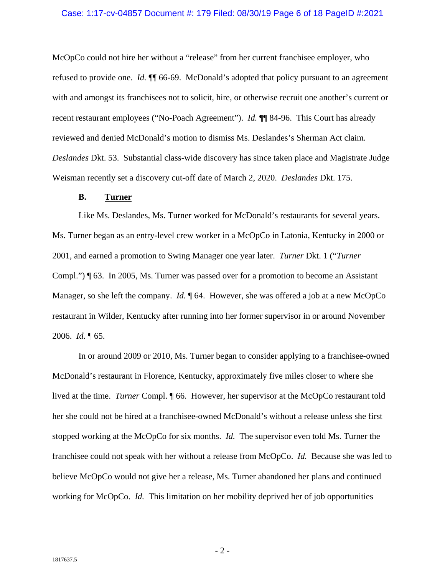#### Case: 1:17-cv-04857 Document #: 179 Filed: 08/30/19 Page 6 of 18 PageID #:2021

McOpCo could not hire her without a "release" from her current franchisee employer, who refused to provide one. *Id.* ¶¶ 66-69. McDonald's adopted that policy pursuant to an agreement with and amongst its franchisees not to solicit, hire, or otherwise recruit one another's current or recent restaurant employees ("No-Poach Agreement"). *Id.* ¶¶ 84-96. This Court has already reviewed and denied McDonald's motion to dismiss Ms. Deslandes's Sherman Act claim. *Deslandes* Dkt. 53. Substantial class-wide discovery has since taken place and Magistrate Judge Weisman recently set a discovery cut-off date of March 2, 2020. *Deslandes* Dkt. 175.

#### **B. Turner**

Like Ms. Deslandes, Ms. Turner worked for McDonald's restaurants for several years. Ms. Turner began as an entry-level crew worker in a McOpCo in Latonia, Kentucky in 2000 or 2001, and earned a promotion to Swing Manager one year later. *Turner* Dkt. 1 ("*Turner*  Compl.") ¶ 63. In 2005, Ms. Turner was passed over for a promotion to become an Assistant Manager, so she left the company. *Id.*  $\llbracket 64$ . However, she was offered a job at a new McOpCo restaurant in Wilder, Kentucky after running into her former supervisor in or around November 2006. *Id.* ¶ 65.

In or around 2009 or 2010, Ms. Turner began to consider applying to a franchisee-owned McDonald's restaurant in Florence, Kentucky, approximately five miles closer to where she lived at the time. *Turner* Compl. ¶ 66. However, her supervisor at the McOpCo restaurant told her she could not be hired at a franchisee-owned McDonald's without a release unless she first stopped working at the McOpCo for six months. *Id.* The supervisor even told Ms. Turner the franchisee could not speak with her without a release from McOpCo. *Id.* Because she was led to believe McOpCo would not give her a release, Ms. Turner abandoned her plans and continued working for McOpCo. *Id.* This limitation on her mobility deprived her of job opportunities

 $-2-$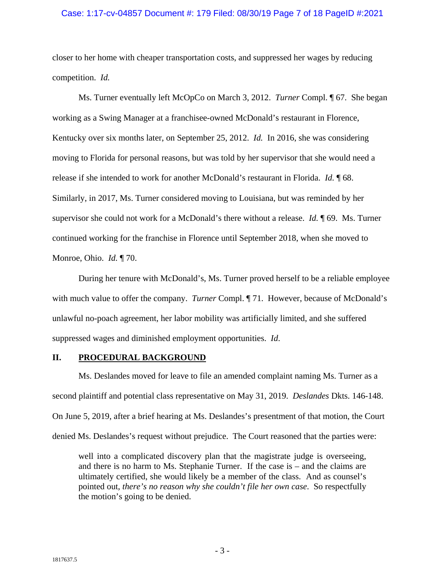### Case: 1:17-cv-04857 Document #: 179 Filed: 08/30/19 Page 7 of 18 PageID #:2021

closer to her home with cheaper transportation costs, and suppressed her wages by reducing competition. *Id.*

Ms. Turner eventually left McOpCo on March 3, 2012. *Turner* Compl. ¶ 67. She began working as a Swing Manager at a franchisee-owned McDonald's restaurant in Florence, Kentucky over six months later, on September 25, 2012. *Id.* In 2016, she was considering moving to Florida for personal reasons, but was told by her supervisor that she would need a release if she intended to work for another McDonald's restaurant in Florida. *Id.* ¶ 68. Similarly, in 2017, Ms. Turner considered moving to Louisiana, but was reminded by her supervisor she could not work for a McDonald's there without a release. *Id.* ¶ 69. Ms. Turner continued working for the franchise in Florence until September 2018, when she moved to Monroe, Ohio. *Id.* ¶ 70.

During her tenure with McDonald's, Ms. Turner proved herself to be a reliable employee with much value to offer the company. *Turner* Compl. ¶ 71. However, because of McDonald's unlawful no-poach agreement, her labor mobility was artificially limited, and she suffered suppressed wages and diminished employment opportunities. *Id*.

# **II. PROCEDURAL BACKGROUND**

Ms. Deslandes moved for leave to file an amended complaint naming Ms. Turner as a second plaintiff and potential class representative on May 31, 2019. *Deslandes* Dkts. 146-148. On June 5, 2019, after a brief hearing at Ms. Deslandes's presentment of that motion, the Court denied Ms. Deslandes's request without prejudice. The Court reasoned that the parties were:

well into a complicated discovery plan that the magistrate judge is overseeing, and there is no harm to Ms. Stephanie Turner. If the case is – and the claims are ultimately certified, she would likely be a member of the class. And as counsel's pointed out, *there's no reason why she couldn't file her own case*. So respectfully the motion's going to be denied.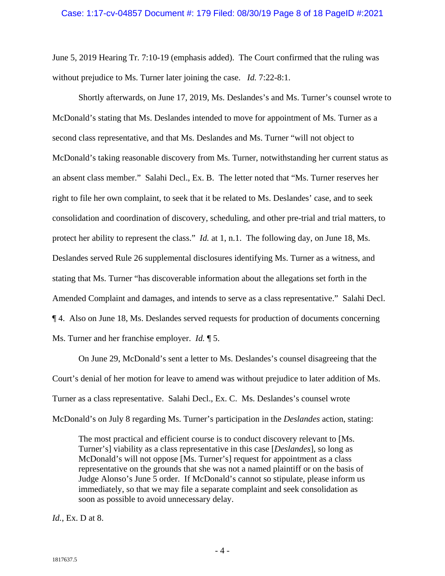June 5, 2019 Hearing Tr. 7:10-19 (emphasis added). The Court confirmed that the ruling was without prejudice to Ms. Turner later joining the case. *Id.* 7:22-8:1.

Shortly afterwards, on June 17, 2019, Ms. Deslandes's and Ms. Turner's counsel wrote to McDonald's stating that Ms. Deslandes intended to move for appointment of Ms. Turner as a second class representative, and that Ms. Deslandes and Ms. Turner "will not object to McDonald's taking reasonable discovery from Ms. Turner, notwithstanding her current status as an absent class member." Salahi Decl., Ex. B. The letter noted that "Ms. Turner reserves her right to file her own complaint, to seek that it be related to Ms. Deslandes' case, and to seek consolidation and coordination of discovery, scheduling, and other pre-trial and trial matters, to protect her ability to represent the class." *Id.* at 1, n.1. The following day, on June 18, Ms. Deslandes served Rule 26 supplemental disclosures identifying Ms. Turner as a witness, and stating that Ms. Turner "has discoverable information about the allegations set forth in the Amended Complaint and damages, and intends to serve as a class representative." Salahi Decl. ¶ 4. Also on June 18, Ms. Deslandes served requests for production of documents concerning Ms. Turner and her franchise employer. *Id.* ¶ 5.

On June 29, McDonald's sent a letter to Ms. Deslandes's counsel disagreeing that the Court's denial of her motion for leave to amend was without prejudice to later addition of Ms. Turner as a class representative. Salahi Decl., Ex. C. Ms. Deslandes's counsel wrote McDonald's on July 8 regarding Ms. Turner's participation in the *Deslandes* action, stating:

The most practical and efficient course is to conduct discovery relevant to [Ms. Turner's] viability as a class representative in this case [*Deslandes*], so long as McDonald's will not oppose [Ms. Turner's] request for appointment as a class representative on the grounds that she was not a named plaintiff or on the basis of Judge Alonso's June 5 order. If McDonald's cannot so stipulate, please inform us immediately, so that we may file a separate complaint and seek consolidation as soon as possible to avoid unnecessary delay.

*Id.*, Ex. D at 8.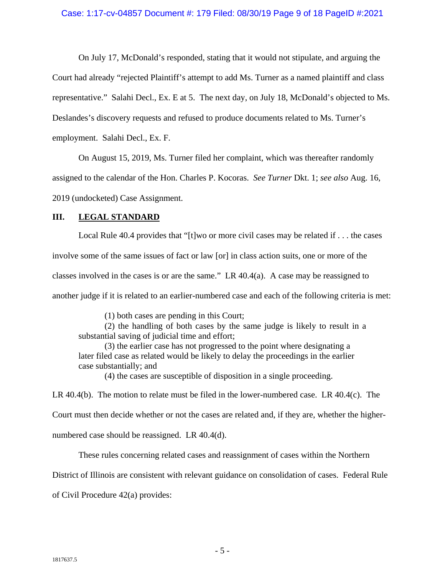On July 17, McDonald's responded, stating that it would not stipulate, and arguing the Court had already "rejected Plaintiff's attempt to add Ms. Turner as a named plaintiff and class representative." Salahi Decl., Ex. E at 5. The next day, on July 18, McDonald's objected to Ms. Deslandes's discovery requests and refused to produce documents related to Ms. Turner's employment. Salahi Decl., Ex. F.

On August 15, 2019, Ms. Turner filed her complaint, which was thereafter randomly assigned to the calendar of the Hon. Charles P. Kocoras. *See Turner* Dkt. 1; *see also* Aug. 16, 2019 (undocketed) Case Assignment.

# **III. LEGAL STANDARD**

Local Rule 40.4 provides that "[t]wo or more civil cases may be related if . . . the cases involve some of the same issues of fact or law [or] in class action suits, one or more of the classes involved in the cases is or are the same." LR 40.4(a). A case may be reassigned to another judge if it is related to an earlier-numbered case and each of the following criteria is met:

(1) both cases are pending in this Court;

(2) the handling of both cases by the same judge is likely to result in a substantial saving of judicial time and effort;

(3) the earlier case has not progressed to the point where designating a later filed case as related would be likely to delay the proceedings in the earlier case substantially; and

(4) the cases are susceptible of disposition in a single proceeding.

LR 40.4(b). The motion to relate must be filed in the lower-numbered case. LR 40.4(c). The Court must then decide whether or not the cases are related and, if they are, whether the higher-

numbered case should be reassigned. LR 40.4(d).

These rules concerning related cases and reassignment of cases within the Northern

District of Illinois are consistent with relevant guidance on consolidation of cases. Federal Rule

of Civil Procedure 42(a) provides: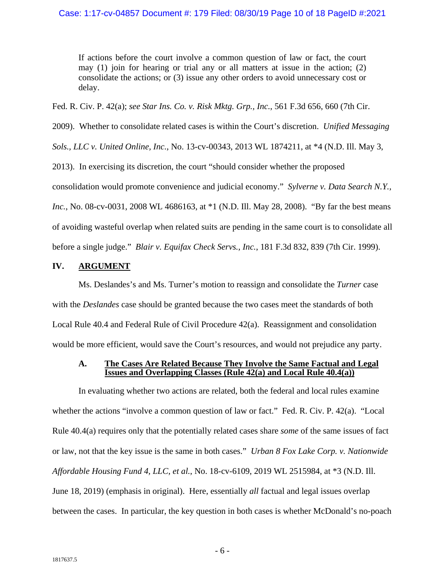### Case: 1:17-cv-04857 Document #: 179 Filed: 08/30/19 Page 10 of 18 PageID #:2021

If actions before the court involve a common question of law or fact, the court may (1) join for hearing or trial any or all matters at issue in the action; (2) consolidate the actions; or (3) issue any other orders to avoid unnecessary cost or delay.

Fed. R. Civ. P. 42(a); *see Star Ins. Co. v. Risk Mktg. Grp., Inc.*, 561 F.3d 656, 660 (7th Cir.

2009). Whether to consolidate related cases is within the Court's discretion. *Unified Messaging* 

*Sols., LLC v. United Online, Inc.*, No. 13-cv-00343, 2013 WL 1874211, at \*4 (N.D. Ill. May 3,

2013). In exercising its discretion, the court "should consider whether the proposed

consolidation would promote convenience and judicial economy." *Sylverne v. Data Search N.Y.,* 

*Inc.*, No. 08-cv-0031, 2008 WL 4686163, at \*1 (N.D. Ill. May 28, 2008). "By far the best means

of avoiding wasteful overlap when related suits are pending in the same court is to consolidate all

before a single judge." *Blair v. Equifax Check Servs., Inc.*, 181 F.3d 832, 839 (7th Cir. 1999).

# **IV. ARGUMENT**

Ms. Deslandes's and Ms. Turner's motion to reassign and consolidate the *Turner* case with the *Deslandes* case should be granted because the two cases meet the standards of both Local Rule 40.4 and Federal Rule of Civil Procedure 42(a). Reassignment and consolidation would be more efficient, would save the Court's resources, and would not prejudice any party.

### **A. The Cases Are Related Because They Involve the Same Factual and Legal Issues and Overlapping Classes (Rule 42(a) and Local Rule 40.4(a))**

In evaluating whether two actions are related, both the federal and local rules examine whether the actions "involve a common question of law or fact." Fed. R. Civ. P. 42(a). "Local Rule 40.4(a) requires only that the potentially related cases share *some* of the same issues of fact or law, not that the key issue is the same in both cases." *Urban 8 Fox Lake Corp. v. Nationwide Affordable Housing Fund 4, LLC, et al.*, No. 18-cv-6109, 2019 WL 2515984, at \*3 (N.D. Ill. June 18, 2019) (emphasis in original). Here, essentially *all* factual and legal issues overlap between the cases. In particular, the key question in both cases is whether McDonald's no-poach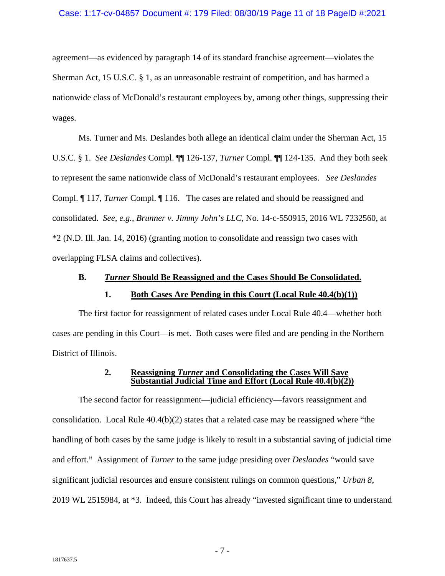agreement—as evidenced by paragraph 14 of its standard franchise agreement—violates the Sherman Act, 15 U.S.C. § 1, as an unreasonable restraint of competition, and has harmed a nationwide class of McDonald's restaurant employees by, among other things, suppressing their wages.

Ms. Turner and Ms. Deslandes both allege an identical claim under the Sherman Act, 15 U.S.C. § 1. *See Deslandes* Compl. ¶¶ 126-137, *Turner* Compl. ¶¶ 124-135. And they both seek to represent the same nationwide class of McDonald's restaurant employees. *See Deslandes* Compl. ¶ 117, *Turner* Compl. ¶ 116. The cases are related and should be reassigned and consolidated. *See*, *e.g.*, *Brunner v. Jimmy John's LLC*, No. 14-c-550915, 2016 WL 7232560, at \*2 (N.D. Ill. Jan. 14, 2016) (granting motion to consolidate and reassign two cases with overlapping FLSA claims and collectives).

## **B.** *Turner* **Should Be Reassigned and the Cases Should Be Consolidated.**

#### **1. Both Cases Are Pending in this Court (Local Rule 40.4(b)(1))**

The first factor for reassignment of related cases under Local Rule 40.4—whether both cases are pending in this Court—is met. Both cases were filed and are pending in the Northern District of Illinois.

## **2. Reassigning** *Turner* **and Consolidating the Cases Will Save Substantial Judicial Time and Effort (Local Rule 40.4(b)(2))**

The second factor for reassignment—judicial efficiency—favors reassignment and consolidation. Local Rule 40.4(b)(2) states that a related case may be reassigned where "the handling of both cases by the same judge is likely to result in a substantial saving of judicial time and effort." Assignment of *Turner* to the same judge presiding over *Deslandes* "would save significant judicial resources and ensure consistent rulings on common questions," *Urban 8*, 2019 WL 2515984, at \*3. Indeed, this Court has already "invested significant time to understand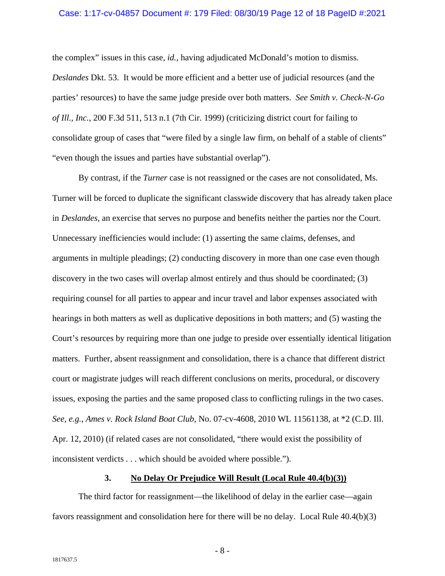#### Case: 1:17-cv-04857 Document #: 179 Filed: 08/30/19 Page 12 of 18 PageID #:2021

the complex" issues in this case, *id.*, having adjudicated McDonald's motion to dismiss. *Deslandes* Dkt. 53. It would be more efficient and a better use of judicial resources (and the parties' resources) to have the same judge preside over both matters. *See Smith v. Check-N-Go of Ill., Inc.*, 200 F.3d 511, 513 n.1 (7th Cir. 1999) (criticizing district court for failing to consolidate group of cases that "were filed by a single law firm, on behalf of a stable of clients" "even though the issues and parties have substantial overlap").

By contrast, if the *Turner* case is not reassigned or the cases are not consolidated, Ms. Turner will be forced to duplicate the significant classwide discovery that has already taken place in *Deslandes*, an exercise that serves no purpose and benefits neither the parties nor the Court. Unnecessary inefficiencies would include: (1) asserting the same claims, defenses, and arguments in multiple pleadings; (2) conducting discovery in more than one case even though discovery in the two cases will overlap almost entirely and thus should be coordinated; (3) requiring counsel for all parties to appear and incur travel and labor expenses associated with hearings in both matters as well as duplicative depositions in both matters; and (5) wasting the Court's resources by requiring more than one judge to preside over essentially identical litigation matters. Further, absent reassignment and consolidation, there is a chance that different district court or magistrate judges will reach different conclusions on merits, procedural, or discovery issues, exposing the parties and the same proposed class to conflicting rulings in the two cases. *See*, *e.g.*, *Ames v. Rock Island Boat Club*, No. 07-cv-4608, 2010 WL 11561138, at \*2 (C.D. Ill. Apr. 12, 2010) (if related cases are not consolidated, "there would exist the possibility of inconsistent verdicts . . . which should be avoided where possible.").

#### **3. No Delay Or Prejudice Will Result (Local Rule 40.4(b)(3))**

The third factor for reassignment—the likelihood of delay in the earlier case—again favors reassignment and consolidation here for there will be no delay. Local Rule 40.4(b)(3)

- 8 -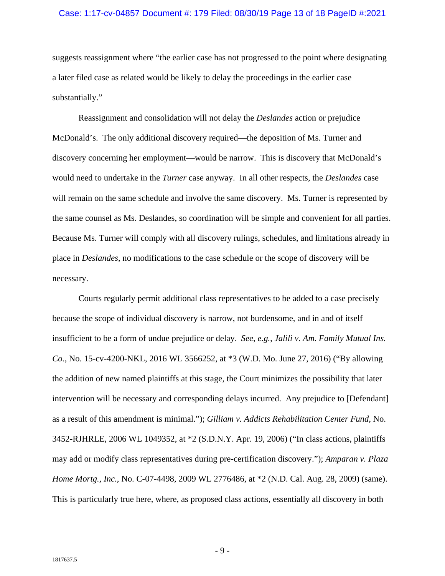#### Case: 1:17-cv-04857 Document #: 179 Filed: 08/30/19 Page 13 of 18 PageID #:2021

suggests reassignment where "the earlier case has not progressed to the point where designating a later filed case as related would be likely to delay the proceedings in the earlier case substantially."

Reassignment and consolidation will not delay the *Deslandes* action or prejudice McDonald's. The only additional discovery required—the deposition of Ms. Turner and discovery concerning her employment—would be narrow. This is discovery that McDonald's would need to undertake in the *Turner* case anyway. In all other respects, the *Deslandes* case will remain on the same schedule and involve the same discovery. Ms. Turner is represented by the same counsel as Ms. Deslandes, so coordination will be simple and convenient for all parties. Because Ms. Turner will comply with all discovery rulings, schedules, and limitations already in place in *Deslandes*, no modifications to the case schedule or the scope of discovery will be necessary.

Courts regularly permit additional class representatives to be added to a case precisely because the scope of individual discovery is narrow, not burdensome, and in and of itself insufficient to be a form of undue prejudice or delay. *See*, *e.g.*, *Jalili v. Am. Family Mutual Ins. Co.*, No. 15-cv-4200-NKL, 2016 WL 3566252, at \*3 (W.D. Mo. June 27, 2016) ("By allowing the addition of new named plaintiffs at this stage, the Court minimizes the possibility that later intervention will be necessary and corresponding delays incurred. Any prejudice to [Defendant] as a result of this amendment is minimal."); *Gilliam v. Addicts Rehabilitation Center Fund*, No. 3452-RJHRLE, 2006 WL 1049352, at \*2 (S.D.N.Y. Apr. 19, 2006) ("In class actions, plaintiffs may add or modify class representatives during pre-certification discovery."); *Amparan v. Plaza Home Mortg., Inc.*, No. C-07-4498, 2009 WL 2776486, at \*2 (N.D. Cal. Aug. 28, 2009) (same). This is particularly true here, where, as proposed class actions, essentially all discovery in both

 $-9-$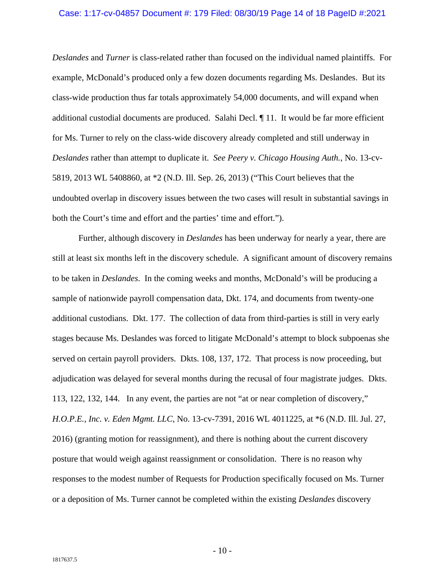#### Case: 1:17-cv-04857 Document #: 179 Filed: 08/30/19 Page 14 of 18 PageID #:2021

*Deslandes* and *Turner* is class-related rather than focused on the individual named plaintiffs. For example, McDonald's produced only a few dozen documents regarding Ms. Deslandes. But its class-wide production thus far totals approximately 54,000 documents, and will expand when additional custodial documents are produced. Salahi Decl. ¶ 11. It would be far more efficient for Ms. Turner to rely on the class-wide discovery already completed and still underway in *Deslandes* rather than attempt to duplicate it. *See Peery v. Chicago Housing Auth.*, No. 13-cv-5819, 2013 WL 5408860, at \*2 (N.D. Ill. Sep. 26, 2013) ("This Court believes that the undoubted overlap in discovery issues between the two cases will result in substantial savings in both the Court's time and effort and the parties' time and effort.").

Further, although discovery in *Deslandes* has been underway for nearly a year, there are still at least six months left in the discovery schedule. A significant amount of discovery remains to be taken in *Deslandes*. In the coming weeks and months, McDonald's will be producing a sample of nationwide payroll compensation data, Dkt. 174, and documents from twenty-one additional custodians. Dkt. 177. The collection of data from third-parties is still in very early stages because Ms. Deslandes was forced to litigate McDonald's attempt to block subpoenas she served on certain payroll providers. Dkts. 108, 137, 172. That process is now proceeding, but adjudication was delayed for several months during the recusal of four magistrate judges. Dkts. 113, 122, 132, 144. In any event, the parties are not "at or near completion of discovery," *H.O.P.E., Inc. v. Eden Mgmt. LLC*, No. 13-cv-7391, 2016 WL 4011225, at \*6 (N.D. Ill. Jul. 27, 2016) (granting motion for reassignment), and there is nothing about the current discovery posture that would weigh against reassignment or consolidation. There is no reason why responses to the modest number of Requests for Production specifically focused on Ms. Turner or a deposition of Ms. Turner cannot be completed within the existing *Deslandes* discovery

 $-10-$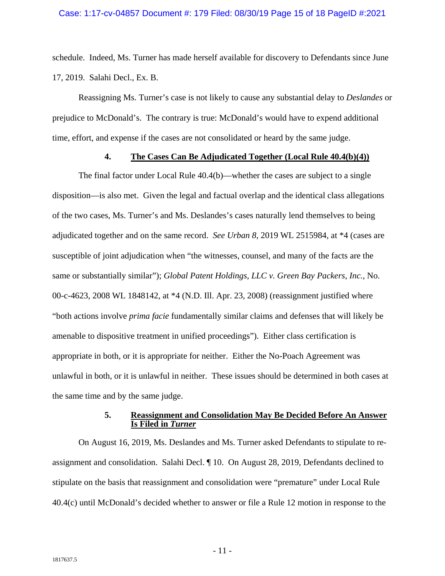schedule. Indeed, Ms. Turner has made herself available for discovery to Defendants since June 17, 2019. Salahi Decl., Ex. B.

Reassigning Ms. Turner's case is not likely to cause any substantial delay to *Deslandes* or prejudice to McDonald's. The contrary is true: McDonald's would have to expend additional time, effort, and expense if the cases are not consolidated or heard by the same judge.

# **4. The Cases Can Be Adjudicated Together (Local Rule 40.4(b)(4))**

The final factor under Local Rule 40.4(b)—whether the cases are subject to a single disposition—is also met. Given the legal and factual overlap and the identical class allegations of the two cases, Ms. Turner's and Ms. Deslandes's cases naturally lend themselves to being adjudicated together and on the same record. *See Urban 8*, 2019 WL 2515984, at \*4 (cases are susceptible of joint adjudication when "the witnesses, counsel, and many of the facts are the same or substantially similar"); *Global Patent Holdings, LLC v. Green Bay Packers, Inc.*, No. 00-c-4623, 2008 WL 1848142, at \*4 (N.D. Ill. Apr. 23, 2008) (reassignment justified where "both actions involve *prima facie* fundamentally similar claims and defenses that will likely be amenable to dispositive treatment in unified proceedings"). Either class certification is appropriate in both, or it is appropriate for neither. Either the No-Poach Agreement was unlawful in both, or it is unlawful in neither. These issues should be determined in both cases at the same time and by the same judge.

# **5. Reassignment and Consolidation May Be Decided Before An Answer Is Filed in** *Turner*

On August 16, 2019, Ms. Deslandes and Ms. Turner asked Defendants to stipulate to reassignment and consolidation. Salahi Decl. ¶ 10. On August 28, 2019, Defendants declined to stipulate on the basis that reassignment and consolidation were "premature" under Local Rule 40.4(c) until McDonald's decided whether to answer or file a Rule 12 motion in response to the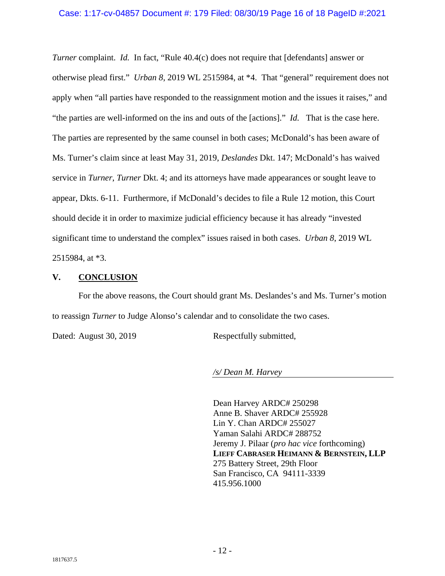### Case: 1:17-cv-04857 Document #: 179 Filed: 08/30/19 Page 16 of 18 PageID #:2021

*Turner* complaint. *Id.* In fact, "Rule 40.4(c) does not require that [defendants] answer or otherwise plead first." *Urban 8*, 2019 WL 2515984, at \*4. That "general" requirement does not apply when "all parties have responded to the reassignment motion and the issues it raises," and "the parties are well-informed on the ins and outs of the [actions]." *Id.* That is the case here. The parties are represented by the same counsel in both cases; McDonald's has been aware of Ms. Turner's claim since at least May 31, 2019, *Deslandes* Dkt. 147; McDonald's has waived service in *Turner*, *Turner* Dkt. 4; and its attorneys have made appearances or sought leave to appear, Dkts. 6-11. Furthermore, if McDonald's decides to file a Rule 12 motion, this Court should decide it in order to maximize judicial efficiency because it has already "invested significant time to understand the complex" issues raised in both cases. *Urban 8*, 2019 WL 2515984, at \*3.

### **V. CONCLUSION**

For the above reasons, the Court should grant Ms. Deslandes's and Ms. Turner's motion to reassign *Turner* to Judge Alonso's calendar and to consolidate the two cases.

Dated: August 30, 2019 Respectfully submitted,

*/s/ Dean M. Harvey* 

Dean Harvey ARDC# 250298 Anne B. Shaver ARDC# 255928 Lin Y. Chan ARDC# 255027 Yaman Salahi ARDC# 288752 Jeremy J. Pilaar (*pro hac vice* forthcoming) **LIEFF CABRASER HEIMANN & BERNSTEIN, LLP**  275 Battery Street, 29th Floor San Francisco, CA 94111-3339 415.956.1000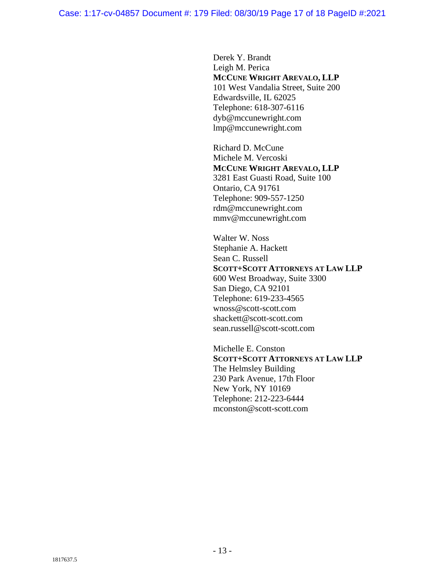Derek Y. Brandt Leigh M. Perica **MCCUNE WRIGHT AREVALO, LLP**  101 West Vandalia Street, Suite 200 Edwardsville, IL 62025 Telephone: 618-307-6116 dyb@mccunewright.com lmp@mccunewright.com

Richard D. McCune Michele M. Vercoski **MCCUNE WRIGHT AREVALO, LLP**  3281 East Guasti Road, Suite 100 Ontario, CA 91761 Telephone: 909-557-1250 rdm@mccunewright.com mmv@mccunewright.com

 Walter W. Noss Stephanie A. Hackett Sean C. Russell **SCOTT+SCOTT ATTORNEYS AT LAW LLP**  600 West Broadway, Suite 3300 San Diego, CA 92101 Telephone: 619-233-4565 wnoss@scott-scott.com shackett@scott-scott.com sean.russell@scott-scott.com

 Michelle E. Conston **SCOTT+SCOTT ATTORNEYS AT LAW LLP**  The Helmsley Building 230 Park Avenue, 17th Floor New York, NY 10169 Telephone: 212-223-6444 mconston@scott-scott.com